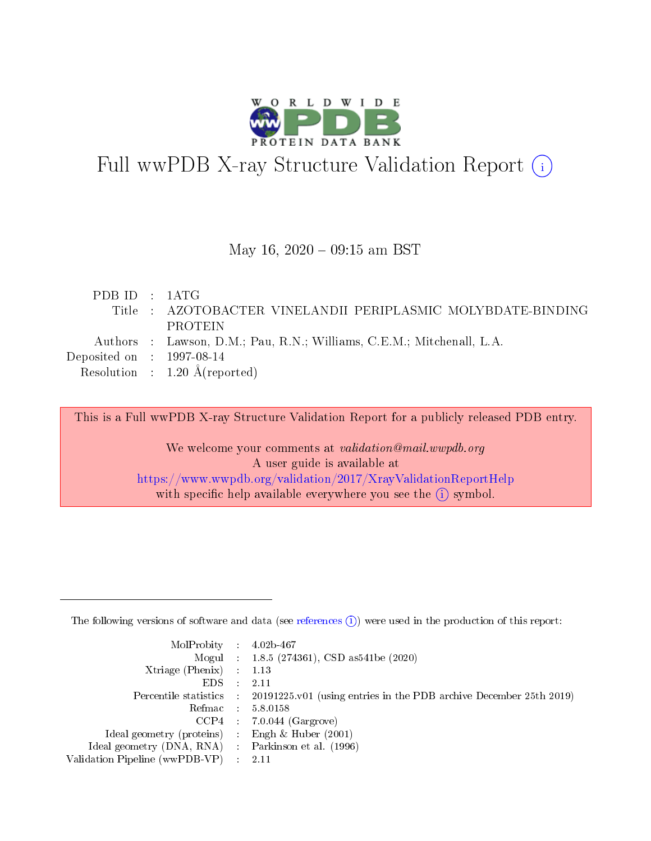

# Full wwPDB X-ray Structure Validation Report (i)

#### May 16,  $2020 - 09:15$  am BST

| PDBID : 1ATG                         |                                                                       |
|--------------------------------------|-----------------------------------------------------------------------|
|                                      | Title : AZOTOBACTER VINELANDII PERIPLASMIC MOLYBDATE-BINDING          |
|                                      | PROTEIN                                                               |
|                                      | Authors : Lawson, D.M.; Pau, R.N.; Williams, C.E.M.; Mitchenall, L.A. |
| Deposited on $\therefore$ 1997-08-14 |                                                                       |
|                                      | Resolution : $1.20 \text{ Å}$ (reported)                              |

This is a Full wwPDB X-ray Structure Validation Report for a publicly released PDB entry.

We welcome your comments at validation@mail.wwpdb.org A user guide is available at <https://www.wwpdb.org/validation/2017/XrayValidationReportHelp> with specific help available everywhere you see the  $(i)$  symbol.

The following versions of software and data (see [references](https://www.wwpdb.org/validation/2017/XrayValidationReportHelp#references)  $(1)$ ) were used in the production of this report:

| $MolProbability$ : 4.02b-467                        |                                                                                              |
|-----------------------------------------------------|----------------------------------------------------------------------------------------------|
|                                                     | Mogul : 1.8.5 (274361), CSD as 541 be (2020)                                                 |
| Xtriage (Phenix) $: 1.13$                           |                                                                                              |
| $EDS$ :                                             | -2.11                                                                                        |
|                                                     | Percentile statistics : $20191225.v01$ (using entries in the PDB archive December 25th 2019) |
| Refmac : 5.8.0158                                   |                                                                                              |
|                                                     | $CCP4$ : 7.0.044 (Gargrove)                                                                  |
| Ideal geometry (proteins) :                         | Engh $\&$ Huber (2001)                                                                       |
| Ideal geometry (DNA, RNA) : Parkinson et al. (1996) |                                                                                              |
| Validation Pipeline (wwPDB-VP) : 2.11               |                                                                                              |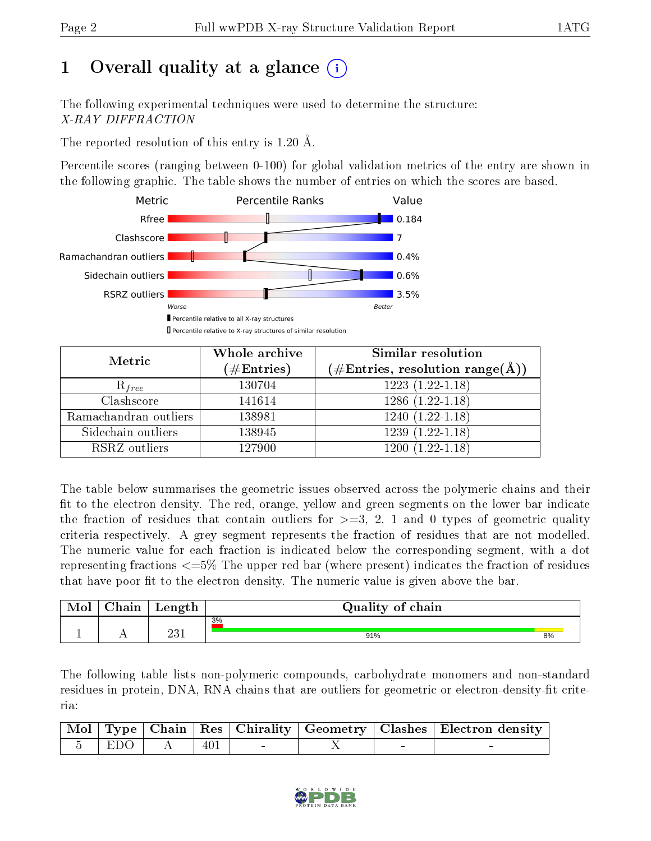# 1 [O](https://www.wwpdb.org/validation/2017/XrayValidationReportHelp#overall_quality)verall quality at a glance  $(i)$

The following experimental techniques were used to determine the structure: X-RAY DIFFRACTION

The reported resolution of this entry is 1.20 Å.

Percentile scores (ranging between 0-100) for global validation metrics of the entry are shown in the following graphic. The table shows the number of entries on which the scores are based.



| Metric                | Whole archive<br>$(\#\text{Entries})$ | Similar resolution<br>$(\#\text{Entries}, \text{resolution range}(\text{\AA}))$ |
|-----------------------|---------------------------------------|---------------------------------------------------------------------------------|
| $R_{free}$            | 130704                                | $1223(1.22-1.18)$                                                               |
| Clashscore            | 141614                                | $1286(1.22-1.18)$                                                               |
| Ramachandran outliers | 138981                                | $1240(1.22-1.18)$                                                               |
| Sidechain outliers    | 138945                                | $1239(1.22-1.18)$                                                               |
| RSRZ outliers         | 127900                                | $1200(1.22-1.18)$                                                               |

The table below summarises the geometric issues observed across the polymeric chains and their fit to the electron density. The red, orange, yellow and green segments on the lower bar indicate the fraction of residues that contain outliers for  $>=3, 2, 1$  and 0 types of geometric quality criteria respectively. A grey segment represents the fraction of residues that are not modelled. The numeric value for each fraction is indicated below the corresponding segment, with a dot representing fractions <=5% The upper red bar (where present) indicates the fraction of residues that have poor fit to the electron density. The numeric value is given above the bar.

| <b>NIOI</b> | ~<br>hain | Length       | Quality<br>chain<br>0I |    |
|-------------|-----------|--------------|------------------------|----|
|             |           |              | 3%                     |    |
|             | . .       | วว 1<br>∠∪ ⊥ | 91%                    | 8% |

The following table lists non-polymeric compounds, carbohydrate monomers and non-standard residues in protein, DNA, RNA chains that are outliers for geometric or electron-density-fit criteria:

|                 |     |  | Mol   Type   Chain   Res   Chirality   Geometry   Clashes   Electron density |
|-----------------|-----|--|------------------------------------------------------------------------------|
| $-5$   EDO $_1$ | 401 |  |                                                                              |

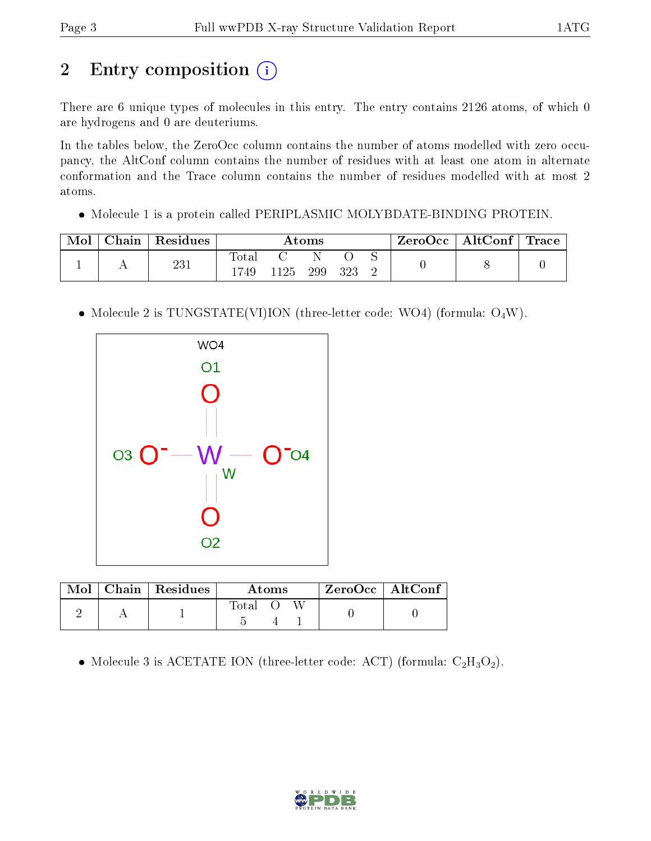# 2 Entry composition (i)

There are 6 unique types of molecules in this entry. The entry contains 2126 atoms, of which 0 are hydrogens and 0 are deuteriums.

In the tables below, the ZeroOcc column contains the number of atoms modelled with zero occupancy, the AltConf column contains the number of residues with at least one atom in alternate conformation and the Trace column contains the number of residues modelled with at most 2 atoms.

Molecule 1 is a protein called PERIPLASMIC MOLYBDATE-BINDING PROTEIN.

| Chain | Residues | Atoms        |      |     | $\text{ZeroOcc} \mid \text{AltConf} \mid \text{Trace}$ |  |  |  |
|-------|----------|--------------|------|-----|--------------------------------------------------------|--|--|--|
|       | 231      | Total<br>749 | 1125 | 299 | 323                                                    |  |  |  |

• Molecule 2 is TUNGSTATE(VI)ION (three-letter code: WO4) (formula:  $O_4W$ ).



| Mol | $\vert$ Chain $\vert$ Residues | Atoms |  |  | ZeroOcc   AltConf |  |
|-----|--------------------------------|-------|--|--|-------------------|--|
|     |                                | Total |  |  |                   |  |

• Molecule 3 is ACETATE ION (three-letter code: ACT) (formula:  $C_2H_3O_2$ ).

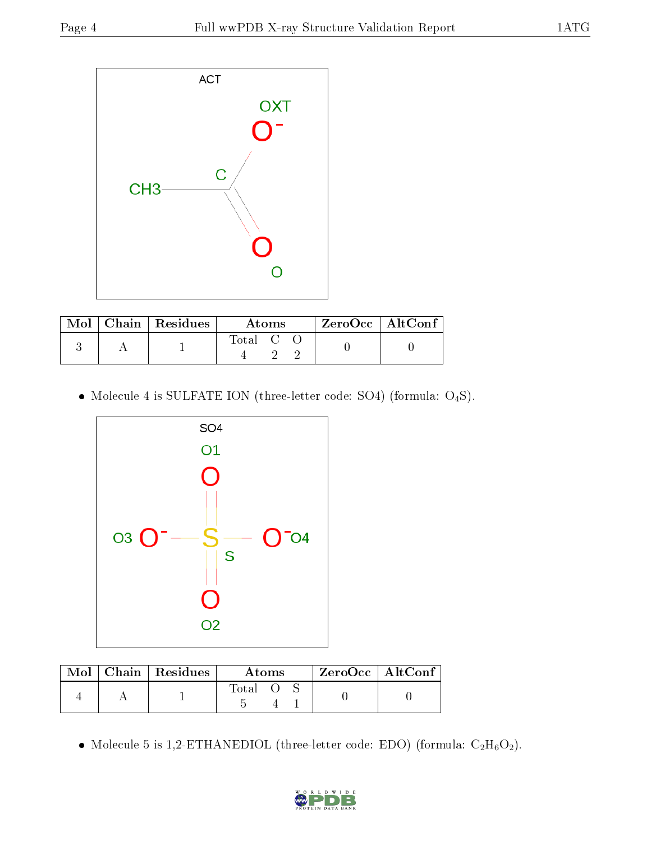

|  | $\text{Mol}$   Chain   Residues | Atoms   |  |  | $ZeroOcc \mid AltConf$ |  |
|--|---------------------------------|---------|--|--|------------------------|--|
|  |                                 | Total C |  |  |                        |  |

 $\bullet$  Molecule 4 is SULFATE ION (three-letter code: SO4) (formula:  $\mathrm{O}_4\mathrm{S}$ ).



| Mol | $\perp$ Chain $\perp$ Residues | Atoms |  |  | $ZeroOcc$   AltConf |  |
|-----|--------------------------------|-------|--|--|---------------------|--|
|     |                                | Total |  |  |                     |  |

 $\bullet$  Molecule 5 is 1,2-ETHANEDIOL (three-letter code: EDO) (formula:  $\rm{C_2H_6O_2}).$ 

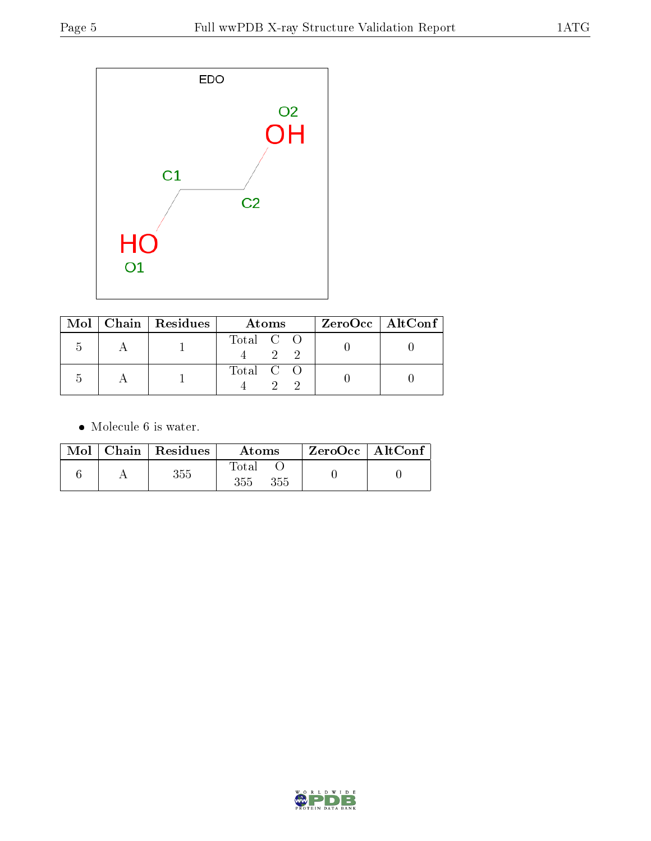

|  | Mol   Chain   Residues | Atoms     | $ZeroOcc \   \ AltConf \  $ |
|--|------------------------|-----------|-----------------------------|
|  |                        | Total C O |                             |
|  |                        | Total C O |                             |

• Molecule 6 is water.

|  | Mol   Chain   Residues | Atoms               | $ZeroOcc$   AltConf |  |
|--|------------------------|---------------------|---------------------|--|
|  | 355                    | Total<br>355<br>355 |                     |  |

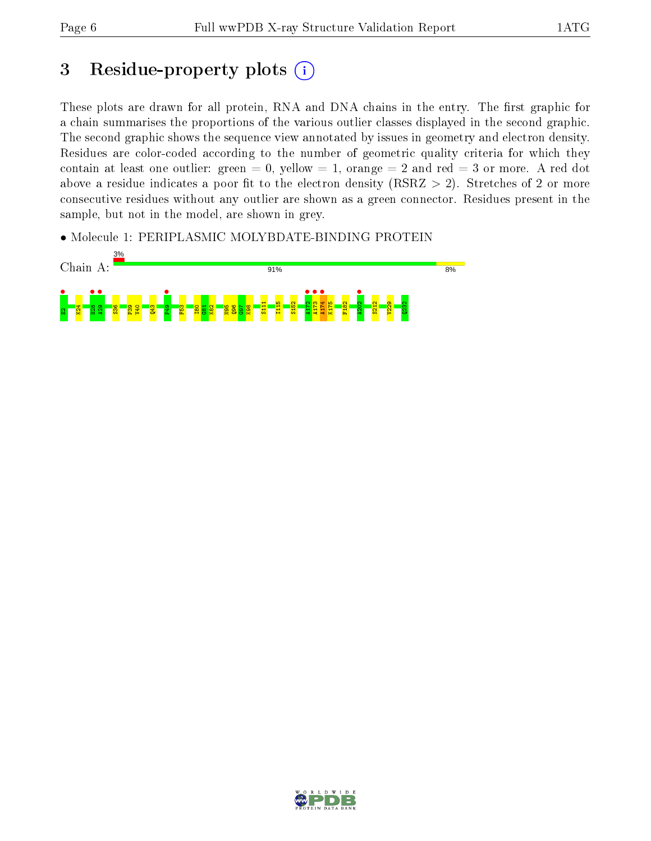# 3 Residue-property plots  $(i)$

These plots are drawn for all protein, RNA and DNA chains in the entry. The first graphic for a chain summarises the proportions of the various outlier classes displayed in the second graphic. The second graphic shows the sequence view annotated by issues in geometry and electron density. Residues are color-coded according to the number of geometric quality criteria for which they contain at least one outlier: green  $= 0$ , yellow  $= 1$ , orange  $= 2$  and red  $= 3$  or more. A red dot above a residue indicates a poor fit to the electron density (RSRZ  $> 2$ ). Stretches of 2 or more consecutive residues without any outlier are shown as a green connector. Residues present in the sample, but not in the model, are shown in grey.

• Molecule 1: PERIPLASMIC MOLYBDATE-BINDING PROTEIN



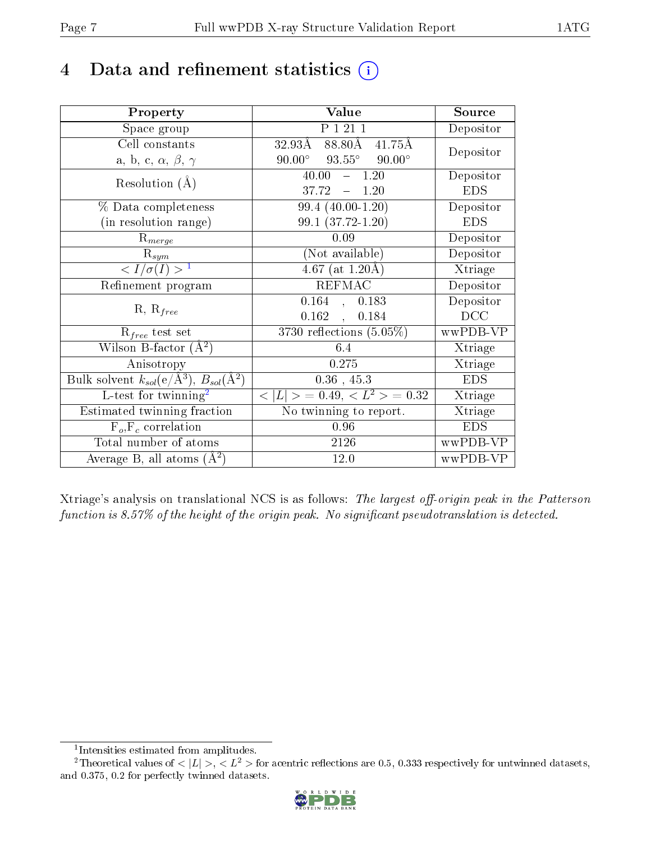## 4 Data and refinement statistics  $(i)$

| Property                                                             | Value                                              | Source                       |
|----------------------------------------------------------------------|----------------------------------------------------|------------------------------|
| Space group                                                          | P 1 21 1                                           | Depositor                    |
| Cell constants                                                       | $88.80\text{\AA}$<br>$32.93\mathrm{\AA}$<br>41.75Å | Depositor                    |
| a, b, c, $\alpha$ , $\beta$ , $\gamma$                               | $93.55^\circ$<br>$90.00^\circ$<br>$90.00^\circ$    |                              |
| Resolution $(A)$                                                     | 40.00<br>$-1.20$                                   | Depositor                    |
|                                                                      | 37.72<br>$-1.20$                                   | <b>EDS</b>                   |
| % Data completeness                                                  | 99.4 (40.00-1.20)                                  | Depositor                    |
| (in resolution range)                                                | $99.1(37.72-1.20)$                                 | <b>EDS</b>                   |
| $R_{merge}$                                                          | 0.09                                               | Depositor                    |
| $\mathrm{R}_{sym}$                                                   | (Not available)                                    | Depositor                    |
| $\langle I/\sigma(I) \rangle^{-1}$                                   | $4.67$ (at 1.20Å)                                  | $\overline{\text{X}}$ triage |
| Refinement program                                                   | <b>REFMAC</b>                                      | Depositor                    |
| $R, R_{free}$                                                        | $0.164$ , $0.183$                                  | Depositor                    |
|                                                                      | $0.162$ ,<br>0.184                                 | DCC                          |
| $R_{free}$ test set                                                  | 3730 reflections $(5.05\%)$                        | wwPDB-VP                     |
| Wilson B-factor $(A^2)$                                              | 6.4                                                | Xtriage                      |
| Anisotropy                                                           | 0.275                                              | Xtriage                      |
| Bulk solvent $k_{sol}(e/\mathring{A}^3)$ , $B_{sol}(\mathring{A}^2)$ | $0.36$ , 45.3                                      | <b>EDS</b>                   |
| L-test for twinning <sup>2</sup>                                     | $< L >$ = 0.49, $< L^2 >$ = 0.32                   | Xtriage                      |
| Estimated twinning fraction                                          | No twinning to report.                             | Xtriage                      |
| $F_o, F_c$ correlation                                               | 0.96                                               | <b>EDS</b>                   |
| Total number of atoms                                                | 2126                                               | wwPDB-VP                     |
| Average B, all atoms $(A^2)$                                         | 12.0                                               | wwPDB-VP                     |

Xtriage's analysis on translational NCS is as follows: The largest off-origin peak in the Patterson function is  $8.57\%$  of the height of the origin peak. No significant pseudotranslation is detected.

<sup>&</sup>lt;sup>2</sup>Theoretical values of  $\langle |L| \rangle$ ,  $\langle L^2 \rangle$  for acentric reflections are 0.5, 0.333 respectively for untwinned datasets, and 0.375, 0.2 for perfectly twinned datasets.



<span id="page-6-1"></span><span id="page-6-0"></span><sup>1</sup> Intensities estimated from amplitudes.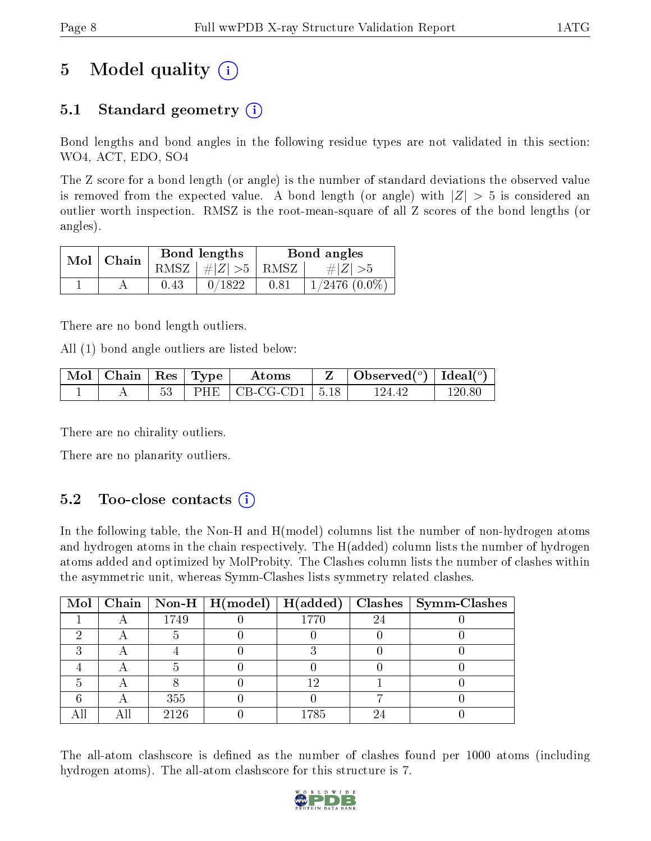## 5 Model quality  $(i)$

### 5.1 Standard geometry  $\overline{()}$

Bond lengths and bond angles in the following residue types are not validated in this section: WO4, ACT, EDO, SO4

The Z score for a bond length (or angle) is the number of standard deviations the observed value is removed from the expected value. A bond length (or angle) with  $|Z| > 5$  is considered an outlier worth inspection. RMSZ is the root-mean-square of all Z scores of the bond lengths (or angles).

| $Mol$   Chain |      | Bond lengths                            |      | Bond angles        |
|---------------|------|-----------------------------------------|------|--------------------|
|               |      | RMSZ $\mid \#  Z  > 5 \mid$ RMSZ $\mid$ |      | $\# Z  > 5$        |
|               | 0.43 | 0/1822                                  | 0.81 | $1/2476$ $(0.0\%)$ |

There are no bond length outliers.

All (1) bond angle outliers are listed below:

| $_+$ Mol $\mid$ Chain $\mid$ Res $\mid$ Type $^+$ |  | Atoms                            | $\mathbf{Z}$   Observed( $^{\circ}$ )   Ideal( $^{\circ}$ ) |        |
|---------------------------------------------------|--|----------------------------------|-------------------------------------------------------------|--------|
|                                                   |  | PHE $\mid$ CB-CG-CD1 $\mid$ 5.18 | 124 42                                                      | 120 80 |

There are no chirality outliers.

There are no planarity outliers.

### $5.2$  Too-close contacts  $(i)$

In the following table, the Non-H and H(model) columns list the number of non-hydrogen atoms and hydrogen atoms in the chain respectively. The H(added) column lists the number of hydrogen atoms added and optimized by MolProbity. The Clashes column lists the number of clashes within the asymmetric unit, whereas Symm-Clashes lists symmetry related clashes.

|  |      | Mol   Chain   Non-H   H(model)   H(added) |      |    | $\text{Classes} \mid \text{Symm-Class}$ |
|--|------|-------------------------------------------|------|----|-----------------------------------------|
|  | 1749 |                                           | 1770 | 24 |                                         |
|  |      |                                           |      |    |                                         |
|  |      |                                           |      |    |                                         |
|  |      |                                           |      |    |                                         |
|  |      |                                           | 19   |    |                                         |
|  | 355  |                                           |      |    |                                         |
|  | 2126 |                                           | 1785 | റ. |                                         |

The all-atom clashscore is defined as the number of clashes found per 1000 atoms (including hydrogen atoms). The all-atom clashscore for this structure is 7.

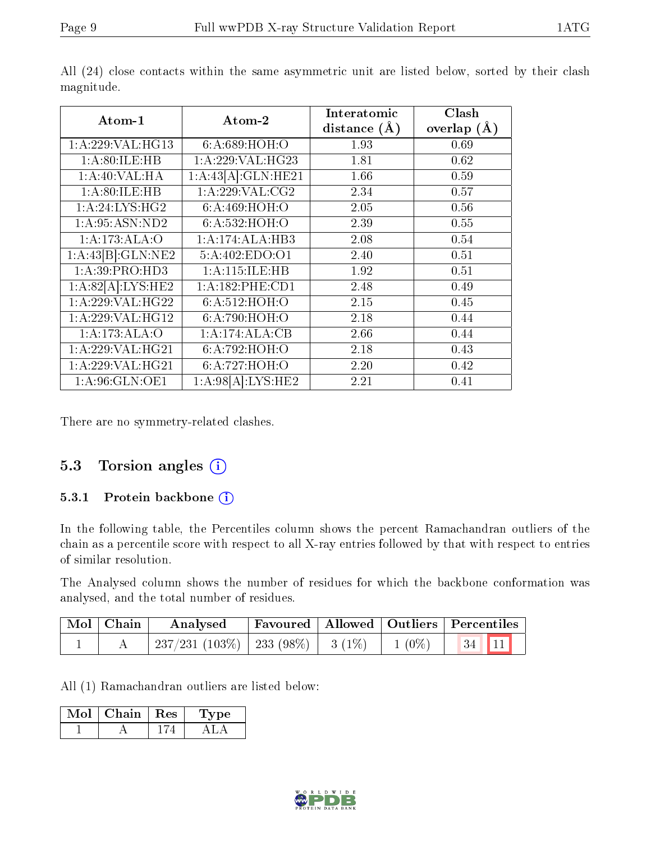| Atom-1             | Atom-2              | Interatomic    | Clash           |
|--------------------|---------------------|----------------|-----------------|
|                    |                     | distance $(A)$ | overlap $(\AA)$ |
| 1: A:229: VAL:HG13 | 6: A:689:HOH:O      | 1.93           | 0.69            |
| 1:A:80:ILE:HB      | 1: A:229: VAL:HG23  | 1.81           | 0.62            |
| 1:A:40:VAL:HA      | 1:A:43[A]:GLN:HE21  | 1.66           | 0.59            |
| 1: A:80: ILE: HB   | 1: A:229:VAL:CG2    | 2.34           | 0.57            |
| 1:A:24:LYS:HG2     | 6:A:469:HOH:O       | 2.05           | 0.56            |
| 1: A:95: ASN:ND2   | 6: A: 532: HOH:O    | 2.39           | 0.55            |
| 1:A:173:ALA:O      | 1:A:174:ALA:HB3     | 2.08           | 0.54            |
| 1:A:43[B]:GLN:NE2  | 5:A:402:EDO:O1      | 2.40           | 0.51            |
| 1:A:39:PRO:HD3     | 1:A:115:ILE:HB      | 1.92           | 0.51            |
| 1:A:82[A]:LYS:HE2  | 1: A: 182: PHE: CD1 | 2.48           | 0.49            |
| 1:A:229:VAL:H G22  | 6:A:512:HOH:O       | 2.15           | 0.45            |
| 1:A:229:VAL:HG12   | 6: A:790:HOH:O      | 2.18           | 0.44            |
| 1:A:173:ALA:O      | 1:A:174:ALA:CB      | 2.66           | 0.44            |
| 1: A:229: VAL:HG21 | 6: A:792: HOH:O     | 2.18           | 0.43            |
| 1:A:229:VAL:HG21   | 6: A:727: HOH:O     | 2.20           | 0.42            |
| 1: A:96: GLN:OE1   | 1:A:98[A]:LYS:HE2   | 2.21           | 0.41            |

All (24) close contacts within the same asymmetric unit are listed below, sorted by their clash magnitude.

There are no symmetry-related clashes.

#### 5.3 Torsion angles (i)

#### 5.3.1 Protein backbone  $(i)$

In the following table, the Percentiles column shows the percent Ramachandran outliers of the chain as a percentile score with respect to all X-ray entries followed by that with respect to entries of similar resolution.

The Analysed column shows the number of residues for which the backbone conformation was analysed, and the total number of residues.

| Mol   Chain | Analysed                                           |  | Favoured   Allowed   Outliers   Percentiles |  |
|-------------|----------------------------------------------------|--|---------------------------------------------|--|
|             | $237/231$ (103\%)   233 (98\%)   3 (1\%)   1 (0\%) |  |                                             |  |

All (1) Ramachandran outliers are listed below:

| Mol | $Chain   Res$ | рe<br>$\perp$ y |
|-----|---------------|-----------------|
|     |               |                 |

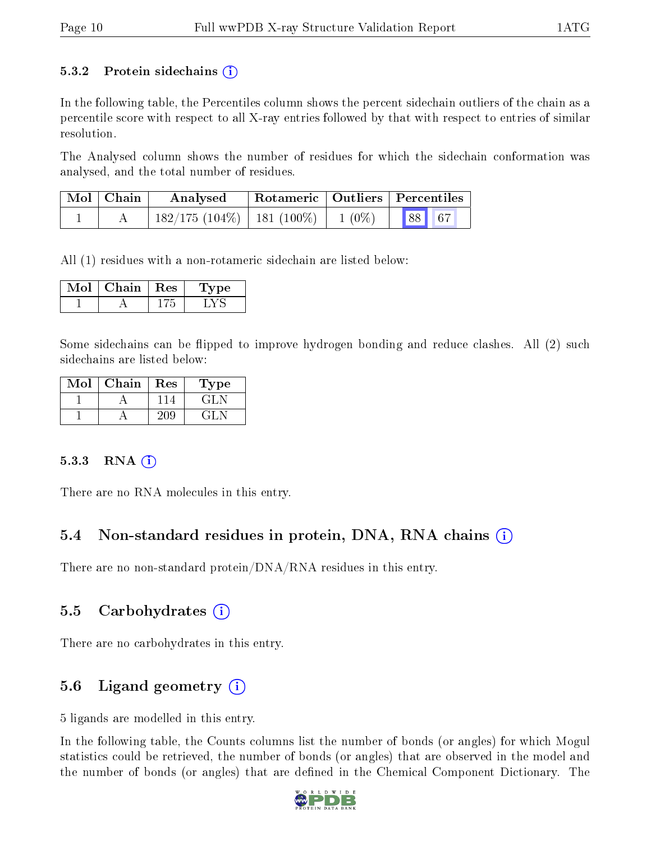#### 5.3.2 Protein sidechains  $(i)$

In the following table, the Percentiles column shows the percent sidechain outliers of the chain as a percentile score with respect to all X-ray entries followed by that with respect to entries of similar resolution.

The Analysed column shows the number of residues for which the sidechain conformation was analysed, and the total number of residues.

| $\text{Mol}$   Chain | Analysed                        | $^\shortparallel$ Rotameric   Outliers   Percentiles |          |       |  |
|----------------------|---------------------------------|------------------------------------------------------|----------|-------|--|
|                      | $182/175$ (104\%)   181 (100\%) |                                                      | $1(0\%)$ | 88 67 |  |

All (1) residues with a non-rotameric sidechain are listed below:

| Chain | $\vert$ Res | vpe |
|-------|-------------|-----|
|       |             |     |

Some sidechains can be flipped to improve hydrogen bonding and reduce clashes. All (2) such sidechains are listed below:

| Mol | Chain | Res | 'Type                     |
|-----|-------|-----|---------------------------|
|     |       |     | -r 4 F ™                  |
|     |       |     | $\mathbf{L} = \mathbf{L}$ |

#### $5.3.3$  RNA  $(i)$

There are no RNA molecules in this entry.

#### 5.4 Non-standard residues in protein, DNA, RNA chains (i)

There are no non-standard protein/DNA/RNA residues in this entry.

#### 5.5 Carbohydrates (i)

There are no carbohydrates in this entry.

### 5.6 Ligand geometry  $(i)$

5 ligands are modelled in this entry.

In the following table, the Counts columns list the number of bonds (or angles) for which Mogul statistics could be retrieved, the number of bonds (or angles) that are observed in the model and the number of bonds (or angles) that are dened in the Chemical Component Dictionary. The

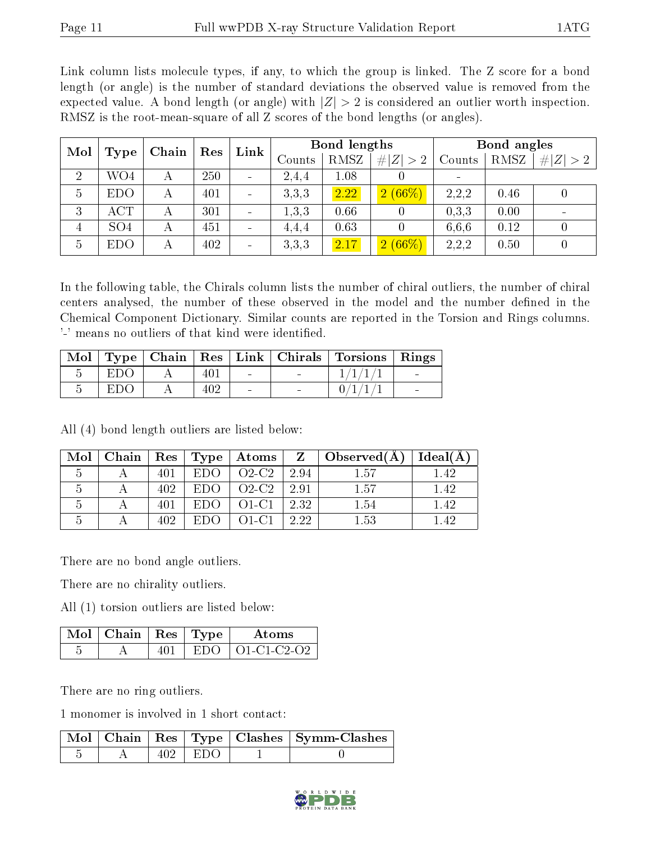Link column lists molecule types, if any, to which the group is linked. The Z score for a bond length (or angle) is the number of standard deviations the observed value is removed from the expected value. A bond length (or angle) with  $|Z| > 2$  is considered an outlier worth inspection. RMSZ is the root-mean-square of all Z scores of the bond lengths (or angles).

| Mol            |                 | Chain        | Res | Bond lengths<br>Link     |        |             | Bond angles |                          |      |             |
|----------------|-----------------|--------------|-----|--------------------------|--------|-------------|-------------|--------------------------|------|-------------|
|                | Type            |              |     |                          | Counts | <b>RMSZ</b> | # $ Z  > 2$ | Counts                   | RMSZ | # $ Z  > 2$ |
| $\overline{2}$ | WO4             | $\mathsf{A}$ | 250 | $\blacksquare$           | 2,4,4  | 1.08        |             | $\overline{\phantom{a}}$ |      |             |
| 5              | <b>EDO</b>      | А            | 401 | $\overline{\phantom{a}}$ | 3,3,3  | 2.22        | $2(66\%)$   | 2,2,2                    | 0.46 | U           |
| 3              | ACT             | А            | 301 | $\overline{\phantom{a}}$ | 1,3,3  | 0.66        |             | 0,3,3                    | 0.00 |             |
| 4              | SO <sub>4</sub> | А            | 451 | $\overline{\phantom{a}}$ | 4,4,4  | 0.63        |             | 6.6.6                    | 0.12 |             |
| -5             | <b>EDO</b>      | А            | 402 | $\overline{\phantom{a}}$ | 3,3,3  | 2.17        | $2(66\%)$   | 2,2,2                    | 0.50 | 0           |

In the following table, the Chirals column lists the number of chiral outliers, the number of chiral centers analysed, the number of these observed in the model and the number defined in the Chemical Component Dictionary. Similar counts are reported in the Torsion and Rings columns. '-' means no outliers of that kind were identified.

|     |     |                          |        | Mol   Type   Chain   Res   Link   Chirals   Torsions   Rings |                          |
|-----|-----|--------------------------|--------|--------------------------------------------------------------|--------------------------|
| EDO |     | <b>Contract Contract</b> | $\sim$ | 1/1/1/1                                                      | <b>Contract Contract</b> |
| EDO | 402 |                          |        | 0/1/1/                                                       |                          |

All (4) bond length outliers are listed below:

|  |     |      |                  |               | Mol   Chain   Res   Type   Atoms   $Z$   Observed(A) | Ideal(A) |
|--|-----|------|------------------|---------------|------------------------------------------------------|----------|
|  |     | EDO. | $O2-C2$          | 2.94          | 1.57                                                 | 142      |
|  | 402 | EDO. | $02-C2$   2.91   |               | 157                                                  | 142      |
|  |     | EDO. | $\sim$ O1-C1 $-$ | $\sqrt{2.32}$ | 154                                                  | 142      |
|  | 402 |      | $\Omega$ 1-C1    | 2.22          | 153                                                  |          |

There are no bond angle outliers.

There are no chirality outliers.

All (1) torsion outliers are listed below:

| $\mid$ Mol $\mid$ Chain $\mid$ Res $\mid$ Type |       | Atoms                       |
|------------------------------------------------|-------|-----------------------------|
|                                                | EDO - | $\vert$ O1-C1-C2-O2 $\vert$ |

There are no ring outliers.

1 monomer is involved in 1 short contact:

|  |             | $\lceil \text{Mol} \rceil$ Chain   Res   Type   Clashes   Symm-Clashes |
|--|-------------|------------------------------------------------------------------------|
|  | $402 + EDO$ |                                                                        |

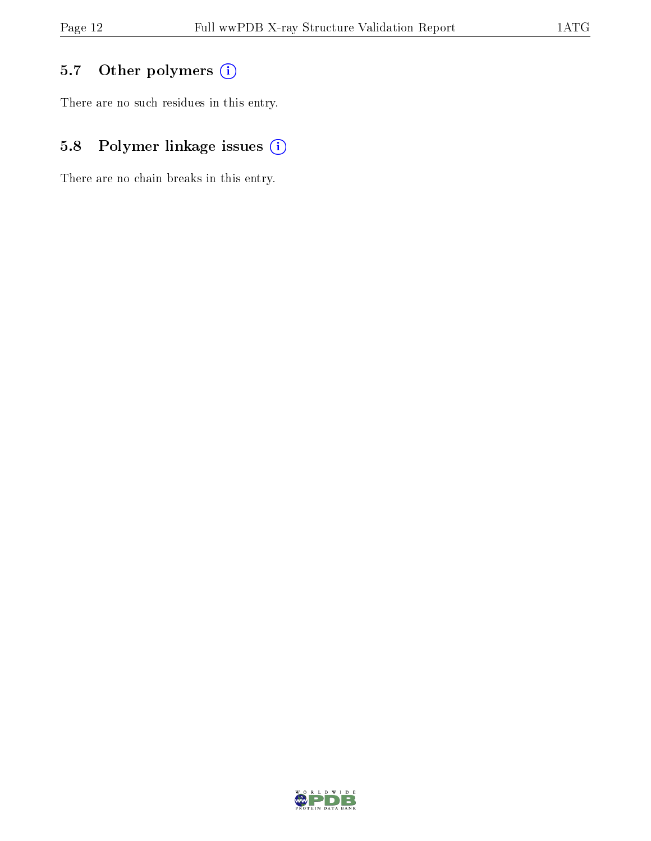### 5.7 [O](https://www.wwpdb.org/validation/2017/XrayValidationReportHelp#nonstandard_residues_and_ligands)ther polymers (i)

There are no such residues in this entry.

### 5.8 Polymer linkage issues (i)

There are no chain breaks in this entry.

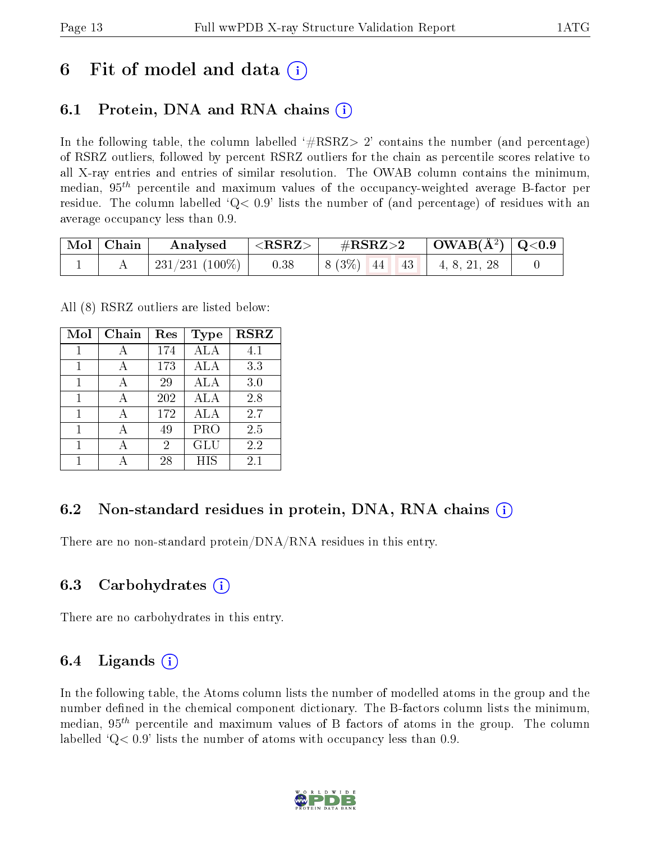### 6 Fit of model and data  $\left( \cdot \right)$

### 6.1 Protein, DNA and RNA chains (i)

In the following table, the column labelled  $#RSRZ>2'$  contains the number (and percentage) of RSRZ outliers, followed by percent RSRZ outliers for the chain as percentile scores relative to all X-ray entries and entries of similar resolution. The OWAB column contains the minimum, median,  $95<sup>th</sup>$  percentile and maximum values of the occupancy-weighted average B-factor per residue. The column labelled  $Q < 0.9$  lists the number of (and percentage) of residues with an average occupancy less than 0.9.

| $\vert$ Mol $\vert$ Chain $\vert$ | $\boldsymbol{\mathrm{Analysed}}$ | $ \langle \mathrm{RSRZ}\rangle $ | $\rm \#RSRZ{>}2$ | $\vert$ OWAB( $\rm \AA^2$ ) $\vert$ Q<0.9 $\vert$ |  |
|-----------------------------------|----------------------------------|----------------------------------|------------------|---------------------------------------------------|--|
|                                   | 231/231 (100%)                   | 0.38                             | $8(3\%)$ 44 43   | 4, 8, 21, 28                                      |  |

All (8) RSRZ outliers are listed below:

| Mol | Chain        | Res            | <b>Type</b> | <b>RSRZ</b> |
|-----|--------------|----------------|-------------|-------------|
| 1   | А            | 174            | ALA         | 4.1         |
| 1   | А            | 173            | ALA         | 3.3         |
| 1   | $\mathsf{A}$ | 29             | ALA         | 3.0         |
|     |              | 202            | ALA         | 2.8         |
| 1   |              | 172            | ALA         | 2.7         |
| 1   |              | 49             | <b>PRO</b>  | 2.5         |
|     |              | $\overline{2}$ | GLU         | 2.2         |
|     |              | 28             | <b>HIS</b>  | 2.1         |

### 6.2 Non-standard residues in protein, DNA, RNA chains  $(i)$

There are no non-standard protein/DNA/RNA residues in this entry.

#### 6.3 Carbohydrates (i)

There are no carbohydrates in this entry.

#### 6.4 Ligands  $(i)$

In the following table, the Atoms column lists the number of modelled atoms in the group and the number defined in the chemical component dictionary. The B-factors column lists the minimum, median,  $95<sup>th</sup>$  percentile and maximum values of B factors of atoms in the group. The column labelled  $Q< 0.9$ ' lists the number of atoms with occupancy less than 0.9.